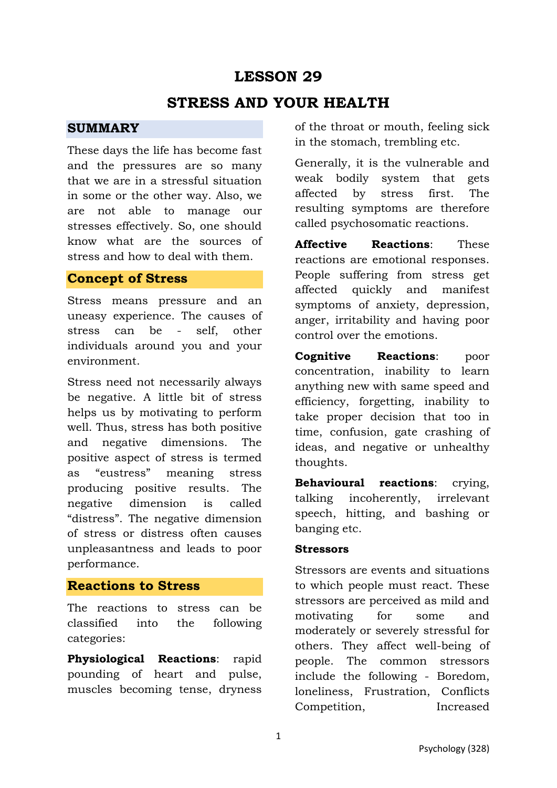# **LESSON 29**

## **STRESS AND YOUR HEALTH**

#### **SUMMARY**

These days the life has become fast and the pressures are so many that we are in a stressful situation in some or the other way. Also, we are not able to manage our stresses effectively. So, one should know what are the sources of stress and how to deal with them.

### **Concept of Stress**

Stress means pressure and an uneasy experience. The causes of stress can be - self, other individuals around you and your environment.

Stress need not necessarily always be negative. A little bit of stress helps us by motivating to perform well. Thus, stress has both positive and negative dimensions. The positive aspect of stress is termed as "eustress" meaning stress producing positive results. The negative dimension is called "distress". The negative dimension of stress or distress often causes unpleasantness and leads to poor performance.

### **Reactions to Stress**

The reactions to stress can be classified into the following categories:

**Physiological Reactions**: rapid pounding of heart and pulse, muscles becoming tense, dryness of the throat or mouth, feeling sick in the stomach, trembling etc.

Generally, it is the vulnerable and weak bodily system that gets affected by stress first. The resulting symptoms are therefore called psychosomatic reactions.

**Affective Reactions**: These reactions are emotional responses. People suffering from stress get affected quickly and manifest symptoms of anxiety, depression, anger, irritability and having poor control over the emotions.

**Cognitive Reactions**: poor concentration, inability to learn anything new with same speed and efficiency, forgetting, inability to take proper decision that too in time, confusion, gate crashing of ideas, and negative or unhealthy thoughts.

**Behavioural reactions**: crying, talking incoherently, irrelevant speech, hitting, and bashing or banging etc.

#### **Stressors**

Stressors are events and situations to which people must react. These stressors are perceived as mild and motivating for some and moderately or severely stressful for others. They affect well-being of people. The common stressors include the following - Boredom, loneliness, Frustration, Conflicts Competition, Increased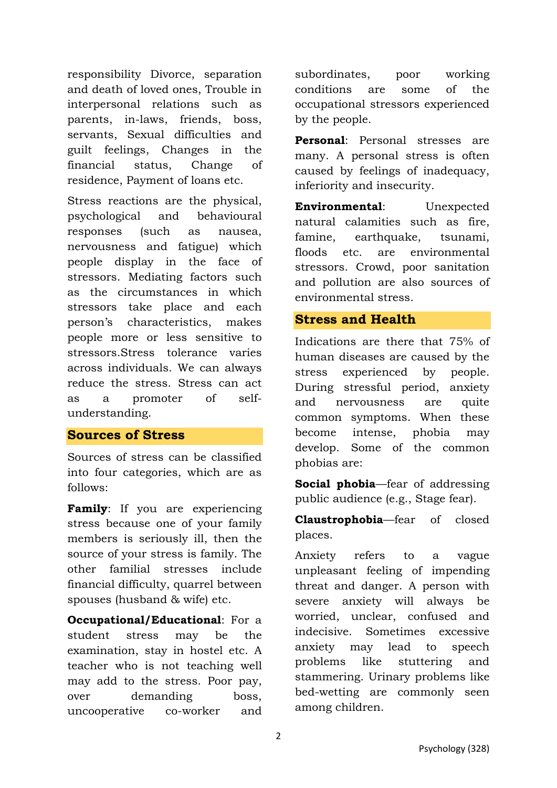responsibility Divorce, separation and death of loved ones, Trouble in interpersonal relations such as parents, in-laws, friends, boss, servants, Sexual difficulties and guilt feelings, Changes in the financial status, Change of residence, Payment of loans etc.

Stress reactions are the physical, psychological and behavioural responses (such as nausea, nervousness and fatigue) which people display in the face of stressors. Mediating factors such as the circumstances in which stressors take place and each person's characteristics, makes people more or less sensitive to stressors.Stress tolerance varies across individuals. We can always reduce the stress. Stress can act as a promoter of selfunderstanding.

### **Sources of Stress**

Sources of stress can be classified into four categories, which are as follows:

Family: If you are experiencing stress because one of your family members is seriously ill, then the source of your stress is family. The other familial stresses include financial difficulty, quarrel between spouses (husband & wife) etc.

**Occupational/Educational**: For a student stress may be the examination, stay in hostel etc. A teacher who is not teaching well may add to the stress. Poor pay, over demanding boss, uncooperative co-worker and subordinates, poor working conditions are some of the occupational stressors experienced by the people.

**Personal**: Personal stresses are many. A personal stress is often caused by feelings of inadequacy, inferiority and insecurity.

**Environmental**: Unexpected natural calamities such as fire, famine, earthquake, tsunami, floods etc. are environmental stressors. Crowd, poor sanitation and pollution are also sources of environmental stress.

### **Stress and Health**

Indications are there that 75% of human diseases are caused by the stress experienced by people. During stressful period, anxiety and nervousness are quite common symptoms. When these become intense, phobia may develop. Some of the common phobias are:

**Social phobia**—fear of addressing public audience (e.g., Stage fear).

**Claustrophobia**—fear of closed places.

Anxiety refers to a vague unpleasant feeling of impending threat and danger. A person with severe anxiety will always be worried, unclear, confused and indecisive. Sometimes excessive anxiety may lead to speech problems like stuttering and stammering. Urinary problems like bed-wetting are commonly seen among children.